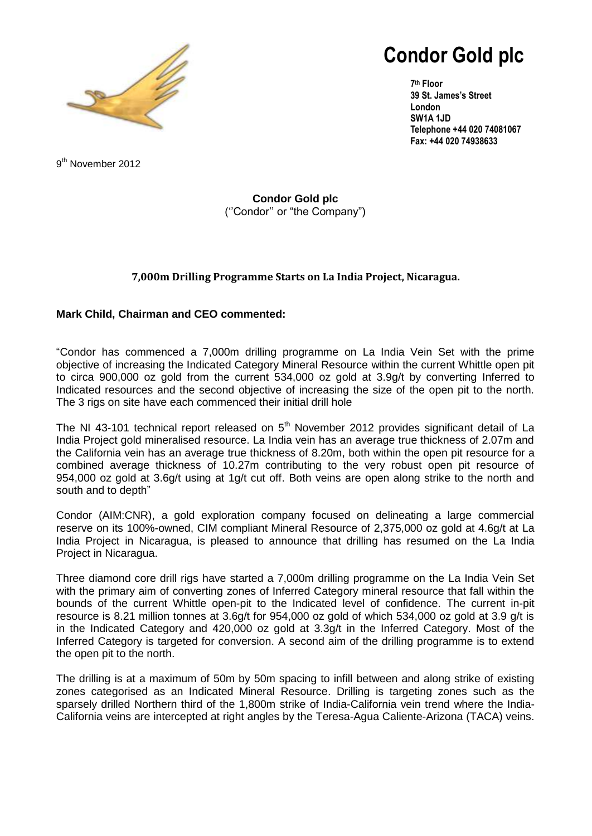

# **Condor Gold plc**

**7 th Floor 39 St. James's Street London SW1A 1JD Telephone +44 020 74081067 Fax: +44 020 74938633**

9<sup>th</sup> November 2012

**Condor Gold plc** (''Condor'' or "the Company")

# **7,000m Drilling Programme Starts on La India Project, Nicaragua.**

# **Mark Child, Chairman and CEO commented:**

"Condor has commenced a 7,000m drilling programme on La India Vein Set with the prime objective of increasing the Indicated Category Mineral Resource within the current Whittle open pit to circa 900,000 oz gold from the current 534,000 oz gold at 3.9g/t by converting Inferred to Indicated resources and the second objective of increasing the size of the open pit to the north. The 3 rigs on site have each commenced their initial drill hole

The NI 43-101 technical report released on  $5<sup>th</sup>$  November 2012 provides significant detail of La India Project gold mineralised resource. La India vein has an average true thickness of 2.07m and the California vein has an average true thickness of 8.20m, both within the open pit resource for a combined average thickness of 10.27m contributing to the very robust open pit resource of 954,000 oz gold at 3.6g/t using at 1g/t cut off. Both veins are open along strike to the north and south and to depth"

Condor (AIM:CNR), a gold exploration company focused on delineating a large commercial reserve on its 100%-owned, CIM compliant Mineral Resource of 2,375,000 oz gold at 4.6g/t at La India Project in Nicaragua, is pleased to announce that drilling has resumed on the La India Project in Nicaragua.

Three diamond core drill rigs have started a 7,000m drilling programme on the La India Vein Set with the primary aim of converting zones of Inferred Category mineral resource that fall within the bounds of the current Whittle open-pit to the Indicated level of confidence. The current in-pit resource is 8.21 million tonnes at 3.6g/t for 954,000 oz gold of which 534,000 oz gold at 3.9 g/t is in the Indicated Category and 420,000 oz gold at 3.3g/t in the Inferred Category. Most of the Inferred Category is targeted for conversion. A second aim of the drilling programme is to extend the open pit to the north.

The drilling is at a maximum of 50m by 50m spacing to infill between and along strike of existing zones categorised as an Indicated Mineral Resource. Drilling is targeting zones such as the sparsely drilled Northern third of the 1,800m strike of India-California vein trend where the India-California veins are intercepted at right angles by the Teresa-Agua Caliente-Arizona (TACA) veins.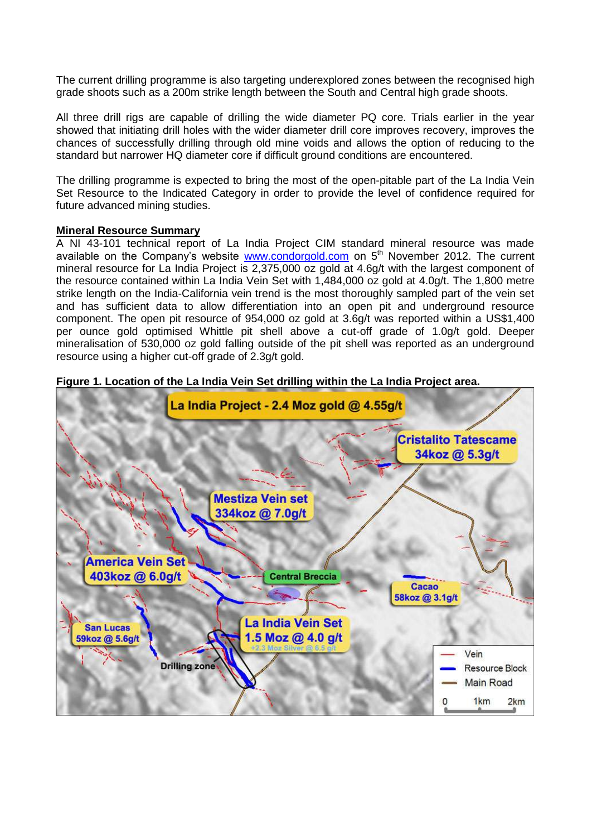The current drilling programme is also targeting underexplored zones between the recognised high grade shoots such as a 200m strike length between the South and Central high grade shoots.

All three drill rigs are capable of drilling the wide diameter PQ core. Trials earlier in the year showed that initiating drill holes with the wider diameter drill core improves recovery, improves the chances of successfully drilling through old mine voids and allows the option of reducing to the standard but narrower HQ diameter core if difficult ground conditions are encountered.

The drilling programme is expected to bring the most of the open-pitable part of the La India Vein Set Resource to the Indicated Category in order to provide the level of confidence required for future advanced mining studies.

## **Mineral Resource Summary**

A NI 43-101 technical report of La India Project CIM standard mineral resource was made available on the Company's website [www.condorgold.com](http://www.condorgold.com/) on  $5<sup>th</sup>$  November 2012. The current mineral resource for La India Project is 2,375,000 oz gold at 4.6g/t with the largest component of the resource contained within La India Vein Set with 1,484,000 oz gold at 4.0g/t. The 1,800 metre strike length on the India-California vein trend is the most thoroughly sampled part of the vein set and has sufficient data to allow differentiation into an open pit and underground resource component. The open pit resource of 954,000 oz gold at 3.6g/t was reported within a US\$1,400 per ounce gold optimised Whittle pit shell above a cut-off grade of 1.0g/t gold. Deeper mineralisation of 530,000 oz gold falling outside of the pit shell was reported as an underground resource using a higher cut-off grade of 2.3g/t gold.



#### **Figure 1. Location of the La India Vein Set drilling within the La India Project area.**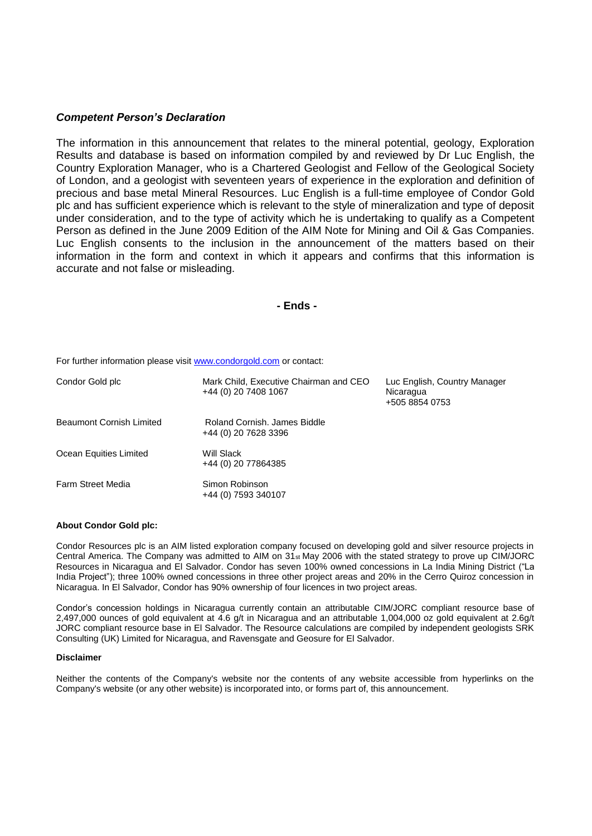#### *Competent Person's Declaration*

The information in this announcement that relates to the mineral potential, geology, Exploration Results and database is based on information compiled by and reviewed by Dr Luc English, the Country Exploration Manager, who is a Chartered Geologist and Fellow of the Geological Society of London, and a geologist with seventeen years of experience in the exploration and definition of precious and base metal Mineral Resources. Luc English is a full-time employee of Condor Gold plc and has sufficient experience which is relevant to the style of mineralization and type of deposit under consideration, and to the type of activity which he is undertaking to qualify as a Competent Person as defined in the June 2009 Edition of the AIM Note for Mining and Oil & Gas Companies. Luc English consents to the inclusion in the announcement of the matters based on their information in the form and context in which it appears and confirms that this information is accurate and not false or misleading.

**- Ends -**

For further information please visit www.condorgold.com or contact:

| Condor Gold plc          | Mark Child, Executive Chairman and CEO<br>+44 (0) 20 7408 1067 | Luc English, Country Manager<br>Nicaragua<br>+505 8854 0753 |
|--------------------------|----------------------------------------------------------------|-------------------------------------------------------------|
| Beaumont Cornish Limited | Roland Cornish, James Biddle<br>+44 (0) 20 7628 3396           |                                                             |
| Ocean Equities Limited   | Will Slack<br>+44 (0) 20 77864385                              |                                                             |
| <b>Farm Street Media</b> | Simon Robinson<br>+44 (0) 7593 340107                          |                                                             |

#### **About Condor Gold plc:**

Condor Resources plc is an AIM listed exploration company focused on developing gold and silver resource projects in Central America. The Company was admitted to AIM on 31st May 2006 with the stated strategy to prove up CIM/JORC Resources in Nicaragua and El Salvador. Condor has seven 100% owned concessions in La India Mining District ("La India Project"); three 100% owned concessions in three other project areas and 20% in the Cerro Quiroz concession in Nicaragua. In El Salvador, Condor has 90% ownership of four licences in two project areas.

Condor's concession holdings in Nicaragua currently contain an attributable CIM/JORC compliant resource base of 2,497,000 ounces of gold equivalent at 4.6 g/t in Nicaragua and an attributable 1,004,000 oz gold equivalent at 2.6g/t JORC compliant resource base in El Salvador. The Resource calculations are compiled by independent geologists SRK Consulting (UK) Limited for Nicaragua, and Ravensgate and Geosure for El Salvador.

#### **Disclaimer**

Neither the contents of the Company's website nor the contents of any website accessible from hyperlinks on the Company's website (or any other website) is incorporated into, or forms part of, this announcement.